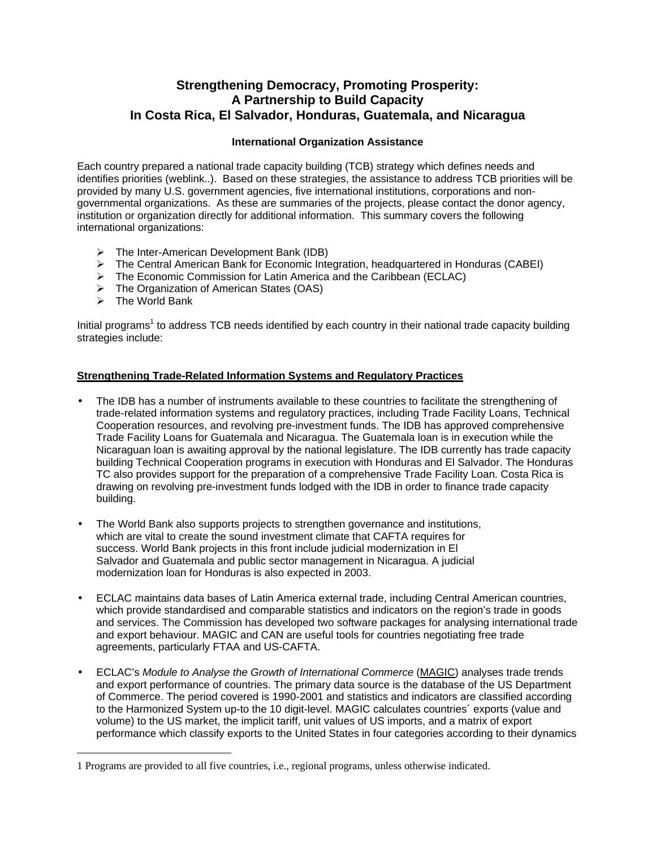# **Strengthening Democracy, Promoting Prosperity: A Partnership to Build Capacity In Costa Rica, El Salvador, Honduras, Guatemala, and Nicaragua**

# **International Organization Assistance**

Each country prepared a national trade capacity building (TCB) strategy which defines needs and identifies priorities (weblink..). Based on these strategies, the assistance to address TCB priorities will be provided by many U.S. government agencies, five international institutions, corporations and nongovernmental organizations. As these are summaries of the projects, please contact the donor agency, institution or organization directly for additional information. This summary covers the following international organizations:

- $\triangleright$  The Inter-American Development Bank (IDB)
- $\triangleright$  The Central American Bank for Economic Integration, headquartered in Honduras (CABEI)
- $\triangleright$  The Economic Commission for Latin America and the Caribbean (ECLAC)
- ÿ The Organization of American States (OAS)
- $\triangleright$  The World Bank

<u>.</u>

Initial programs<sup>1</sup> to address TCB needs identified by each country in their national trade capacity building strategies include:

#### **Strengthening Trade-Related Information Systems and Regulatory Practices**

- The IDB has a number of instruments available to these countries to facilitate the strengthening of trade-related information systems and regulatory practices, including Trade Facility Loans, Technical Cooperation resources, and revolving pre-investment funds. The IDB has approved comprehensive Trade Facility Loans for Guatemala and Nicaragua. The Guatemala loan is in execution while the Nicaraguan loan is awaiting approval by the national legislature. The IDB currently has trade capacity building Technical Cooperation programs in execution with Honduras and El Salvador. The Honduras TC also provides support for the preparation of a comprehensive Trade Facility Loan. Costa Rica is drawing on revolving pre-investment funds lodged with the IDB in order to finance trade capacity building.
- The World Bank also supports projects to strengthen governance and institutions, which are vital to create the sound investment climate that CAFTA requires for success. World Bank projects in this front include judicial modernization in El Salvador and Guatemala and public sector management in Nicaragua. A judicial modernization loan for Honduras is also expected in 2003.
- ECLAC maintains data bases of Latin America external trade, including Central American countries, which provide standardised and comparable statistics and indicators on the region's trade in goods and services. The Commission has developed two software packages for analysing international trade and export behaviour. MAGIC and CAN are useful tools for countries negotiating free trade agreements, particularly FTAA and US-CAFTA.
- ECLAC's *Module to Analyse the Growth of International Commerce* (MAGIC) analyses trade trends and export performance of countries. The primary data source is the database of the US Department of Commerce. The period covered is 1990-2001 and statistics and indicators are classified according to the Harmonized System up-to the 10 digit-level. MAGIC calculates countries´ exports (value and volume) to the US market, the implicit tariff, unit values of US imports, and a matrix of export performance which classify exports to the United States in four categories according to their dynamics

<sup>1</sup> Programs are provided to all five countries, i.e., regional programs, unless otherwise indicated.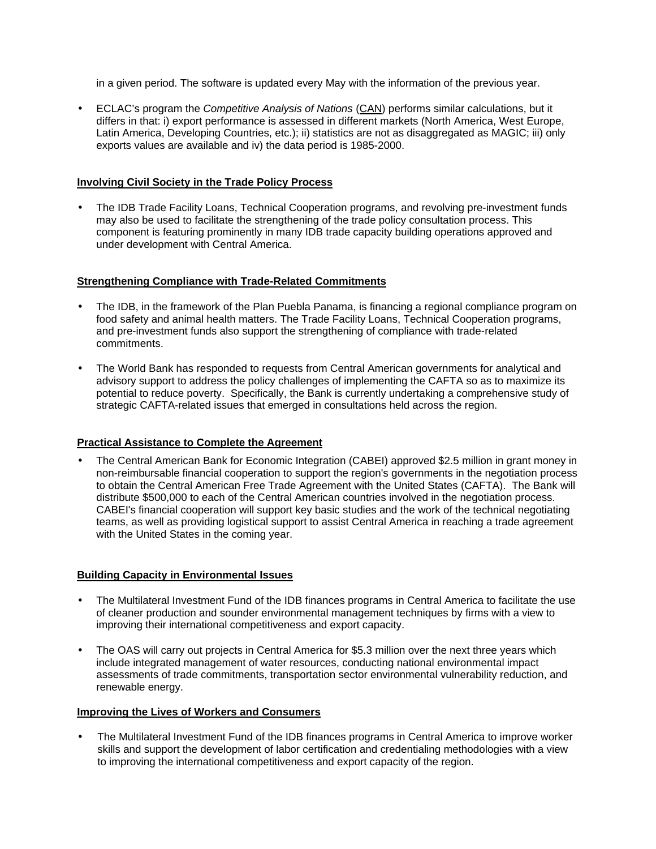in a given period. The software is updated every May with the information of the previous year.

• ECLAC's program the *Competitive Analysis of Nations* (CAN) performs similar calculations, but it differs in that: i) export performance is assessed in different markets (North America, West Europe, Latin America, Developing Countries, etc.); ii) statistics are not as disaggregated as MAGIC; iii) only exports values are available and iv) the data period is 1985-2000.

## **Involving Civil Society in the Trade Policy Process**

• The IDB Trade Facility Loans, Technical Cooperation programs, and revolving pre-investment funds may also be used to facilitate the strengthening of the trade policy consultation process. This component is featuring prominently in many IDB trade capacity building operations approved and under development with Central America.

### **Strengthening Compliance with Trade-Related Commitments**

- The IDB, in the framework of the Plan Puebla Panama, is financing a regional compliance program on food safety and animal health matters. The Trade Facility Loans, Technical Cooperation programs, and pre-investment funds also support the strengthening of compliance with trade-related commitments.
- The World Bank has responded to requests from Central American governments for analytical and advisory support to address the policy challenges of implementing the CAFTA so as to maximize its potential to reduce poverty. Specifically, the Bank is currently undertaking a comprehensive study of strategic CAFTA-related issues that emerged in consultations held across the region.

# **Practical Assistance to Complete the Agreement**

• The Central American Bank for Economic Integration (CABEI) approved \$2.5 million in grant money in non-reimbursable financial cooperation to support the region's governments in the negotiation process to obtain the Central American Free Trade Agreement with the United States (CAFTA). The Bank will distribute \$500,000 to each of the Central American countries involved in the negotiation process. CABEI's financial cooperation will support key basic studies and the work of the technical negotiating teams, as well as providing logistical support to assist Central America in reaching a trade agreement with the United States in the coming year.

# **Building Capacity in Environmental Issues**

- The Multilateral Investment Fund of the IDB finances programs in Central America to facilitate the use of cleaner production and sounder environmental management techniques by firms with a view to improving their international competitiveness and export capacity.
- The OAS will carry out projects in Central America for \$5.3 million over the next three years which include integrated management of water resources, conducting national environmental impact assessments of trade commitments, transportation sector environmental vulnerability reduction, and renewable energy.

#### **Improving the Lives of Workers and Consumers**

• The Multilateral Investment Fund of the IDB finances programs in Central America to improve worker skills and support the development of labor certification and credentialing methodologies with a view to improving the international competitiveness and export capacity of the region.